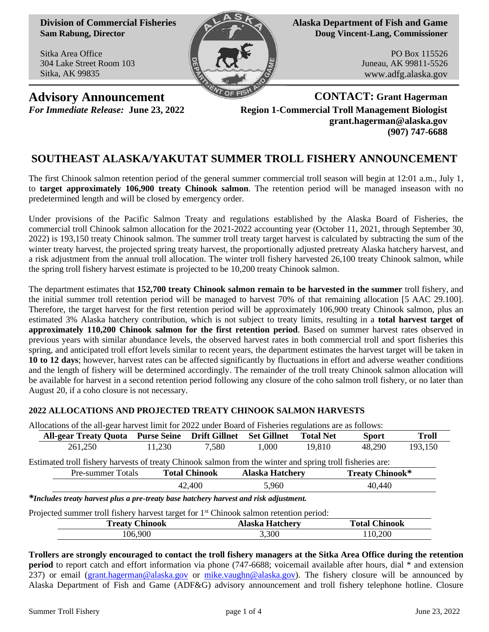**Division of Commercial Fisheries Sam Rabung, Director**

Sitka Area Office 304 Lake Street Room 103 Sitka, AK 99835



**Alaska Department of Fish and Game Doug Vincent-Lang, Commissioner**

> PO Box 115526 Juneau, AK 99811-5526 www.adfg.alaska.gov

**Advisory Announcement CONTACT: Grant Hagerman** *For Immediate Release:* **June 23, 2022 Region 1-Commercial Troll Management Biologist grant.hagerman@alaska.gov (907) 747-6688**

# **SOUTHEAST ALASKA/YAKUTAT SUMMER TROLL FISHERY ANNOUNCEMENT**

The first Chinook salmon retention period of the general summer commercial troll season will begin at 12:01 a.m., July 1, to **target approximately 106,900 treaty Chinook salmon**. The retention period will be managed inseason with no predetermined length and will be closed by emergency order.

Under provisions of the Pacific Salmon Treaty and regulations established by the Alaska Board of Fisheries, the commercial troll Chinook salmon allocation for the 2021-2022 accounting year (October 11, 2021, through September 30, 2022) is 193,150 treaty Chinook salmon. The summer troll treaty target harvest is calculated by subtracting the sum of the winter treaty harvest, the projected spring treaty harvest, the proportionally adjusted pretreaty Alaska hatchery harvest, and a risk adjustment from the annual troll allocation. The winter troll fishery harvested 26,100 treaty Chinook salmon, while the spring troll fishery harvest estimate is projected to be 10,200 treaty Chinook salmon.

The department estimates that **152,700 treaty Chinook salmon remain to be harvested in the summer** troll fishery, and the initial summer troll retention period will be managed to harvest 70% of that remaining allocation [5 AAC 29.100]. Therefore, the target harvest for the first retention period will be approximately 106,900 treaty Chinook salmon, plus an estimated 3% Alaska hatchery contribution, which is not subject to treaty limits, resulting in a **total harvest target of approximately 110,200 Chinook salmon for the first retention period**. Based on summer harvest rates observed in previous years with similar abundance levels, the observed harvest rates in both commercial troll and sport fisheries this spring, and anticipated troll effort levels similar to recent years, the department estimates the harvest target will be taken in **10 to 12 days**; however, harvest rates can be affected significantly by fluctuations in effort and adverse weather conditions and the length of fishery will be determined accordingly. The remainder of the troll treaty Chinook salmon allocation will be available for harvest in a second retention period following any closure of the coho salmon troll fishery, or no later than August 20, if a coho closure is not necessary.

## **2022 ALLOCATIONS AND PROJECTED TREATY CHINOOK SALMON HARVESTS**

Allocations of the all-gear harvest limit for 2022 under Board of Fisheries regulations are as follows: **All-gear Treaty Quota Purse Seine Drift Gillnet Set Gillnet Total Net Sport Troll** 261,250 11,230 7,580 1,000 19,810 48,290 193,150 Estimated troll fishery harvests of treaty Chinook salmon from the winter and spring troll fisheries are: Pre-summer Totals **Total Chinook Alaska Hatchery Treaty Chinook\*** 42,400 5,960 40,440 *\*Includes treaty harvest plus a pre-treaty base hatchery harvest and risk adjustment.* Projected summer troll fishery harvest target for 1<sup>st</sup> Chinook salmon retention period: **Treaty Chinook Alaska Hatchery Total Chinook** 106,900 3,300 110,200

**Trollers are strongly encouraged to contact the troll fishery managers at the Sitka Area Office during the retention period** to report catch and effort information via phone (747-6688; voicemail available after hours, dial \* and extension 237) or email [\(grant.hagerman@alaska.gov](mailto:grant.hagerman@alaska.gov) or [mike.vaughn@alaska.gov\)](mailto:mike.vaughn@alaska.gov). The fishery closure will be announced by Alaska Department of Fish and Game (ADF&G) advisory announcement and troll fishery telephone hotline. Closure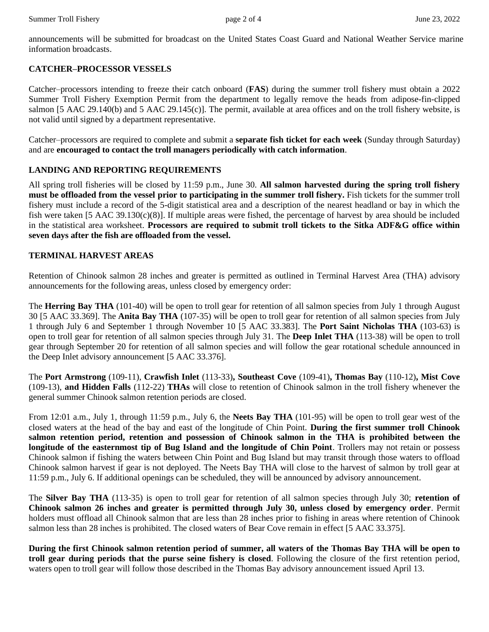announcements will be submitted for broadcast on the United States Coast Guard and National Weather Service marine information broadcasts.

#### **CATCHER–PROCESSOR VESSELS**

Catcher–processors intending to freeze their catch onboard (**FAS**) during the summer troll fishery must obtain a 2022 Summer Troll Fishery Exemption Permit from the department to legally remove the heads from adipose-fin-clipped salmon [5 AAC 29.140(b) and 5 AAC 29.145(c)]. The permit, available at area offices and on the troll fishery website, is not valid until signed by a department representative.

Catcher–processors are required to complete and submit a **separate fish ticket for each week** (Sunday through Saturday) and are **encouraged to contact the troll managers periodically with catch information**.

#### **LANDING AND REPORTING REQUIREMENTS**

All spring troll fisheries will be closed by 11:59 p.m., June 30. **All salmon harvested during the spring troll fishery must be offloaded from the vessel prior to participating in the summer troll fishery.** Fish tickets for the summer troll fishery must include a record of the 5-digit statistical area and a description of the nearest headland or bay in which the fish were taken [5 AAC 39.130(c)(8)]. If multiple areas were fished, the percentage of harvest by area should be included in the statistical area worksheet. **Processors are required to submit troll tickets to the Sitka ADF&G office within seven days after the fish are offloaded from the vessel.**

#### **TERMINAL HARVEST AREAS**

Retention of Chinook salmon 28 inches and greater is permitted as outlined in Terminal Harvest Area (THA) advisory announcements for the following areas, unless closed by emergency order:

The **Herring Bay THA** (101-40) will be open to troll gear for retention of all salmon species from July 1 through August 30 [5 AAC 33.369]. The **Anita Bay THA** (107-35) will be open to troll gear for retention of all salmon species from July 1 through July 6 and September 1 through November 10 [5 AAC 33.383]. The **Port Saint Nicholas THA** (103-63) is open to troll gear for retention of all salmon species through July 31. The **Deep Inlet THA** (113-38) will be open to troll gear through September 20 for retention of all salmon species and will follow the gear rotational schedule announced in the Deep Inlet advisory announcement [5 AAC 33.376].

The **Port Armstrong** (109-11), **Crawfish Inlet** (113-33)**, Southeast Cove** (109-41)**, Thomas Bay** (110-12)**, Mist Cove** (109-13), **and Hidden Falls** (112-22) **THAs** will close to retention of Chinook salmon in the troll fishery whenever the general summer Chinook salmon retention periods are closed.

From 12:01 a.m., July 1, through 11:59 p.m., July 6, the **Neets Bay THA** (101-95) will be open to troll gear west of the closed waters at the head of the bay and east of the longitude of Chin Point. **During the first summer troll Chinook salmon retention period, retention and possession of Chinook salmon in the THA is prohibited between the longitude of the easternmost tip of Bug Island and the longitude of Chin Point**. Trollers may not retain or possess Chinook salmon if fishing the waters between Chin Point and Bug Island but may transit through those waters to offload Chinook salmon harvest if gear is not deployed. The Neets Bay THA will close to the harvest of salmon by troll gear at 11:59 p.m., July 6. If additional openings can be scheduled, they will be announced by advisory announcement.

The **Silver Bay THA** (113-35) is open to troll gear for retention of all salmon species through July 30; **retention of Chinook salmon 26 inches and greater is permitted through July 30, unless closed by emergency order**. Permit holders must offload all Chinook salmon that are less than 28 inches prior to fishing in areas where retention of Chinook salmon less than 28 inches is prohibited. The closed waters of Bear Cove remain in effect [5 AAC 33.375].

**During the first Chinook salmon retention period of summer, all waters of the Thomas Bay THA will be open to troll gear during periods that the purse seine fishery is closed**. Following the closure of the first retention period, waters open to troll gear will follow those described in the Thomas Bay advisory announcement issued April 13.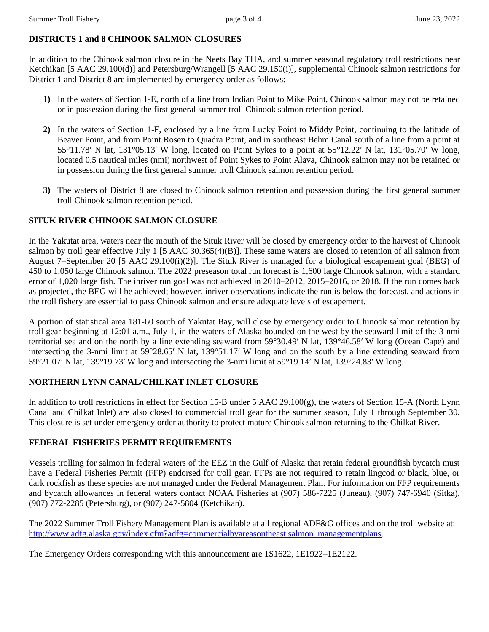## **DISTRICTS 1 and 8 CHINOOK SALMON CLOSURES**

In addition to the Chinook salmon closure in the Neets Bay THA, and summer seasonal regulatory troll restrictions near Ketchikan [5 AAC 29.100(d)] and Petersburg/Wrangell [5 AAC 29.150(i)], supplemental Chinook salmon restrictions for District 1 and District 8 are implemented by emergency order as follows:

- **1)** In the waters of Section 1-E, north of a line from Indian Point to Mike Point, Chinook salmon may not be retained or in possession during the first general summer troll Chinook salmon retention period.
- **2)** In the waters of Section 1-F, enclosed by a line from Lucky Point to Middy Point, continuing to the latitude of Beaver Point, and from Point Rosen to Quadra Point, and in southeast Behm Canal south of a line from a point at 55°11.78′ N lat, 131°05.13′ W long, located on Point Sykes to a point at 55°12.22′ N lat, 131°05.70′ W long, located 0.5 nautical miles (nmi) northwest of Point Sykes to Point Alava, Chinook salmon may not be retained or in possession during the first general summer troll Chinook salmon retention period.
- **3)** The waters of District 8 are closed to Chinook salmon retention and possession during the first general summer troll Chinook salmon retention period.

# **SITUK RIVER CHINOOK SALMON CLOSURE**

In the Yakutat area, waters near the mouth of the Situk River will be closed by emergency order to the harvest of Chinook salmon by troll gear effective July 1 [5 AAC 30.365(4)(B)]. These same waters are closed to retention of all salmon from August 7–September 20 [5 AAC 29.100(i)(2)]. The Situk River is managed for a biological escapement goal (BEG) of 450 to 1,050 large Chinook salmon. The 2022 preseason total run forecast is 1,600 large Chinook salmon, with a standard error of 1,020 large fish. The inriver run goal was not achieved in 2010–2012, 2015–2016, or 2018. If the run comes back as projected, the BEG will be achieved; however, inriver observations indicate the run is below the forecast, and actions in the troll fishery are essential to pass Chinook salmon and ensure adequate levels of escapement.

A portion of statistical area 181-60 south of Yakutat Bay, will close by emergency order to Chinook salmon retention by troll gear beginning at 12:01 a.m., July 1, in the waters of Alaska bounded on the west by the seaward limit of the 3-nmi territorial sea and on the north by a line extending seaward from 59°30.49′ N lat, 139°46.58′ W long (Ocean Cape) and intersecting the 3-nmi limit at 59°28.65′ N lat, 139°51.17′ W long and on the south by a line extending seaward from 59°21.07′ N lat, 139°19.73′ W long and intersecting the 3-nmi limit at 59°19.14′ N lat, 139°24.83′ W long.

# **NORTHERN LYNN CANAL/CHILKAT INLET CLOSURE**

In addition to troll restrictions in effect for Section 15-B under 5 AAC 29.100(g), the waters of Section 15-A (North Lynn Canal and Chilkat Inlet) are also closed to commercial troll gear for the summer season, July 1 through September 30. This closure is set under emergency order authority to protect mature Chinook salmon returning to the Chilkat River.

## **FEDERAL FISHERIES PERMIT REQUIREMENTS**

Vessels trolling for salmon in federal waters of the EEZ in the Gulf of Alaska that retain federal groundfish bycatch must have a Federal Fisheries Permit (FFP) endorsed for troll gear. FFPs are not required to retain lingcod or black, blue, or dark rockfish as these species are not managed under the Federal Management Plan. For information on FFP requirements and bycatch allowances in federal waters contact NOAA Fisheries at (907) 586-7225 (Juneau), (907) 747-6940 (Sitka), (907) 772-2285 (Petersburg), or (907) 247-5804 (Ketchikan).

The 2022 Summer Troll Fishery Management Plan is available at all regional ADF&G offices and on the troll website at: [http://www.adfg.alaska.gov/index.cfm?adfg=commercialbyareasoutheast.salmon\\_managementplans.](http://www.adfg.alaska.gov/index.cfm?adfg=commercialbyareasoutheast.salmon_managementplans)

The Emergency Orders corresponding with this announcement are 1S1622, 1E1922–1E2122.